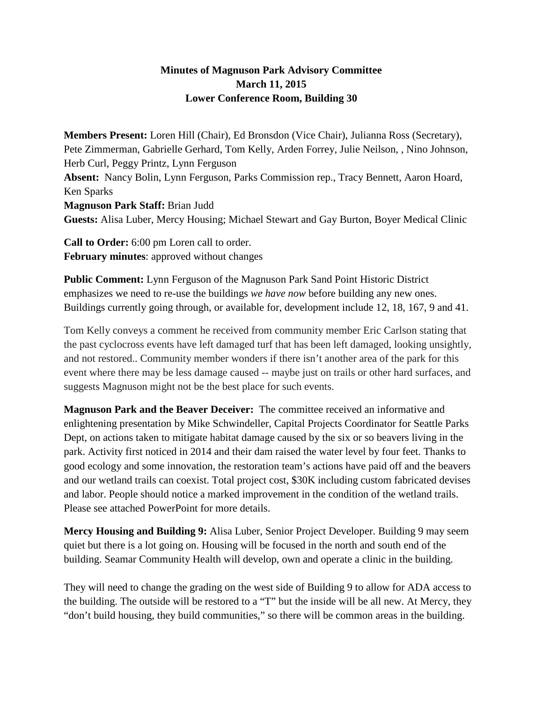## **Minutes of Magnuson Park Advisory Committee March 11, 2015 Lower Conference Room, Building 30**

**Members Present:** Loren Hill (Chair), Ed Bronsdon (Vice Chair), Julianna Ross (Secretary), Pete Zimmerman, Gabrielle Gerhard, Tom Kelly, Arden Forrey, Julie Neilson, , Nino Johnson, Herb Curl, Peggy Printz, Lynn Ferguson **Absent:** Nancy Bolin, Lynn Ferguson, Parks Commission rep., Tracy Bennett, Aaron Hoard, Ken Sparks **Magnuson Park Staff:** Brian Judd **Guests:** Alisa Luber, Mercy Housing; Michael Stewart and Gay Burton, Boyer Medical Clinic

**Call to Order:** 6:00 pm Loren call to order. **February minutes**: approved without changes

**Public Comment:** Lynn Ferguson of the Magnuson Park Sand Point Historic District emphasizes we need to re-use the buildings *we have now* before building any new ones. Buildings currently going through, or available for, development include 12, 18, 167, 9 and 41.

Tom Kelly conveys a comment he received from community member Eric Carlson stating that the past cyclocross events have left damaged turf that has been left damaged, looking unsightly, and not restored.. Community member wonders if there isn't another area of the park for this event where there may be less damage caused -- maybe just on trails or other hard surfaces, and suggests Magnuson might not be the best place for such events.

**Magnuson Park and the Beaver Deceiver:** The committee received an informative and enlightening presentation by Mike Schwindeller, Capital Projects Coordinator for Seattle Parks Dept, on actions taken to mitigate habitat damage caused by the six or so beavers living in the park. Activity first noticed in 2014 and their dam raised the water level by four feet. Thanks to good ecology and some innovation, the restoration team's actions have paid off and the beavers and our wetland trails can coexist. Total project cost, \$30K including custom fabricated devises and labor. People should notice a marked improvement in the condition of the wetland trails. Please see attached PowerPoint for more details.

**Mercy Housing and Building 9:** Alisa Luber, Senior Project Developer. Building 9 may seem quiet but there is a lot going on. Housing will be focused in the north and south end of the building. Seamar Community Health will develop, own and operate a clinic in the building.

They will need to change the grading on the west side of Building 9 to allow for ADA access to the building. The outside will be restored to a "T" but the inside will be all new. At Mercy, they "don't build housing, they build communities," so there will be common areas in the building.